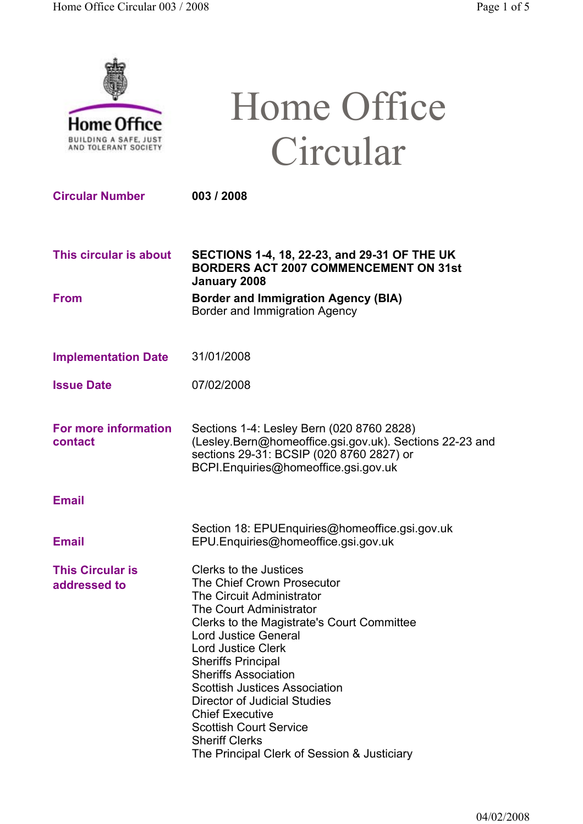

# Home Office Circular

**Circular Number 003 / 2008**

- **This circular is about SECTIONS 1-4, 18, 22-23, and 29-31 OF THE UK BORDERS ACT 2007 COMMENCEMENT ON 31st January 2008**
- **From Border and Immigration Agency (BIA)** Border and Immigration Agency
- **Implementation Date** 31/01/2008
- **Issue Date** 07/02/2008
- **For more information contact** Sections 1-4: Lesley Bern (020 8760 2828) (Lesley.Bern@homeoffice.gsi.gov.uk). Sections 22-23 and sections 29-31: BCSIP (020 8760 2827) or BCPI.Enquiries@homeoffice.gsi.gov.uk
- **Email**
- Section 18: EPUEnquiries@homeoffice.gsi.gov.uk **Email** EPU.Enquiries@homeoffice.gsi.gov.uk
- **This Circular is addressed to** Clerks to the Justices The Chief Crown Prosecutor The Circuit Administrator The Court Administrator Clerks to the Magistrate's Court Committee Lord Justice General Lord Justice Clerk Sheriffs Principal Sheriffs Association Scottish Justices Association Director of Judicial Studies Chief Executive Scottish Court Service Sheriff Clerks The Principal Clerk of Session & Justiciary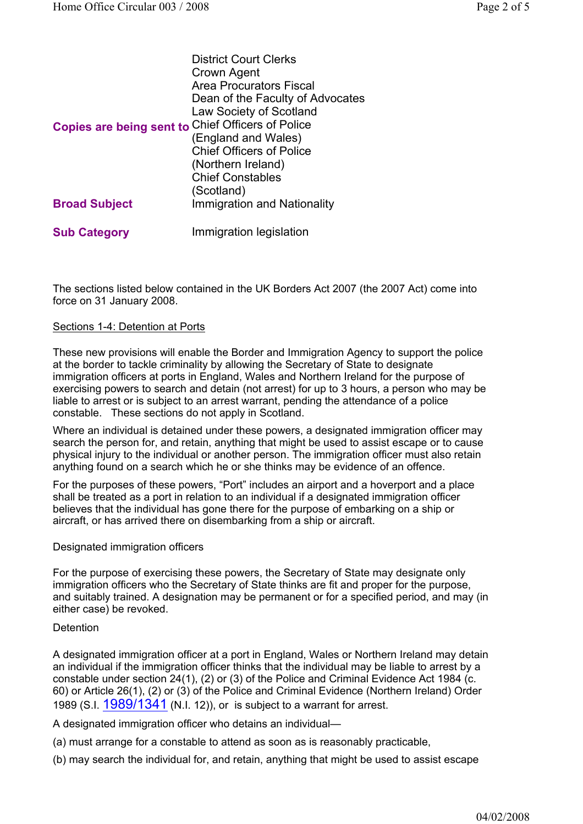|                                                   | <b>District Court Clerks</b>       |
|---------------------------------------------------|------------------------------------|
|                                                   | Crown Agent                        |
|                                                   | <b>Area Procurators Fiscal</b>     |
|                                                   | Dean of the Faculty of Advocates   |
|                                                   | <b>Law Society of Scotland</b>     |
| Copies are being sent to Chief Officers of Police |                                    |
|                                                   | (England and Wales)                |
|                                                   | <b>Chief Officers of Police</b>    |
|                                                   | (Northern Ireland)                 |
|                                                   | <b>Chief Constables</b>            |
|                                                   | (Scotland)                         |
| <b>Broad Subject</b>                              | <b>Immigration and Nationality</b> |
| <b>Sub Category</b>                               | Immigration legislation            |

The sections listed below contained in the UK Borders Act 2007 (the 2007 Act) come into force on 31 January 2008.

## Sections 1-4: Detention at Ports

These new provisions will enable the Border and Immigration Agency to support the police at the border to tackle criminality by allowing the Secretary of State to designate immigration officers at ports in England, Wales and Northern Ireland for the purpose of exercising powers to search and detain (not arrest) for up to 3 hours, a person who may be liable to arrest or is subject to an arrest warrant, pending the attendance of a police constable. These sections do not apply in Scotland.

Where an individual is detained under these powers, a designated immigration officer may search the person for, and retain, anything that might be used to assist escape or to cause physical injury to the individual or another person. The immigration officer must also retain anything found on a search which he or she thinks may be evidence of an offence.

For the purposes of these powers, "Port" includes an airport and a hoverport and a place shall be treated as a port in relation to an individual if a designated immigration officer believes that the individual has gone there for the purpose of embarking on a ship or aircraft, or has arrived there on disembarking from a ship or aircraft.

## Designated immigration officers

For the purpose of exercising these powers, the Secretary of State may designate only immigration officers who the Secretary of State thinks are fit and proper for the purpose, and suitably trained. A designation may be permanent or for a specified period, and may (in either case) be revoked.

## **Detention**

A designated immigration officer at a port in England, Wales or Northern Ireland may detain an individual if the immigration officer thinks that the individual may be liable to arrest by a constable under section 24(1), (2) or (3) of the Police and Criminal Evidence Act 1984 (c. 60) or Article 26(1), (2) or (3) of the Police and Criminal Evidence (Northern Ireland) Order 1989 (S.I. 1989/1341 (N.I. 12)), or is subject to a warrant for arrest.

A designated immigration officer who detains an individual—

(a) must arrange for a constable to attend as soon as is reasonably practicable,

(b) may search the individual for, and retain, anything that might be used to assist escape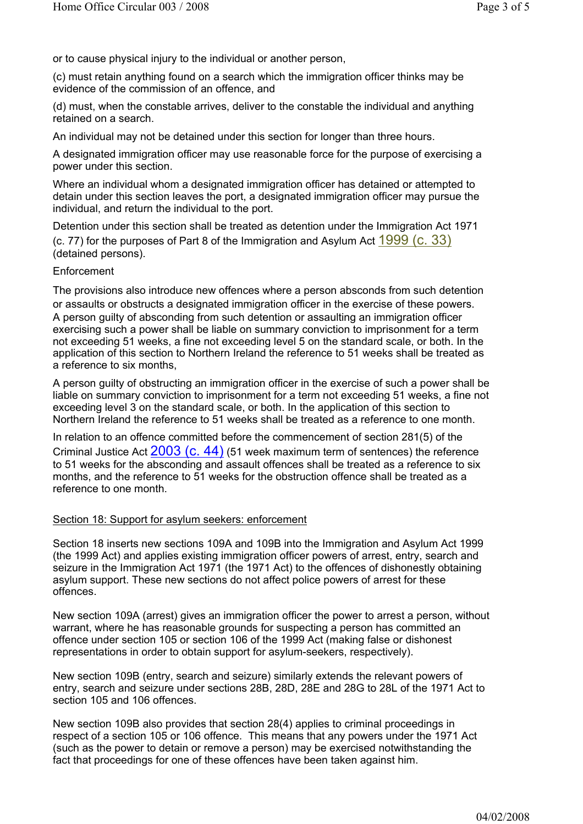or to cause physical injury to the individual or another person,

(c) must retain anything found on a search which the immigration officer thinks may be evidence of the commission of an offence, and

(d) must, when the constable arrives, deliver to the constable the individual and anything retained on a search.

An individual may not be detained under this section for longer than three hours.

A designated immigration officer may use reasonable force for the purpose of exercising a power under this section.

Where an individual whom a designated immigration officer has detained or attempted to detain under this section leaves the port, a designated immigration officer may pursue the individual, and return the individual to the port.

Detention under this section shall be treated as detention under the Immigration Act 1971 (c. 77) for the purposes of Part 8 of the Immigration and Asylum Act 1999 (c. 33) (detained persons).

## **Enforcement**

The provisions also introduce new offences where a person absconds from such detention or assaults or obstructs a designated immigration officer in the exercise of these powers. A person guilty of absconding from such detention or assaulting an immigration officer exercising such a power shall be liable on summary conviction to imprisonment for a term not exceeding 51 weeks, a fine not exceeding level 5 on the standard scale, or both. In the application of this section to Northern Ireland the reference to 51 weeks shall be treated as a reference to six months,

A person guilty of obstructing an immigration officer in the exercise of such a power shall be liable on summary conviction to imprisonment for a term not exceeding 51 weeks, a fine not exceeding level 3 on the standard scale, or both. In the application of this section to Northern Ireland the reference to 51 weeks shall be treated as a reference to one month.

In relation to an offence committed before the commencement of section 281(5) of the Criminal Justice Act  $2003$  (C. 44) (51 week maximum term of sentences) the reference to 51 weeks for the absconding and assault offences shall be treated as a reference to six months, and the reference to 51 weeks for the obstruction offence shall be treated as a reference to one month.

## Section 18: Support for asylum seekers: enforcement

Section 18 inserts new sections 109A and 109B into the Immigration and Asylum Act 1999 (the 1999 Act) and applies existing immigration officer powers of arrest, entry, search and seizure in the Immigration Act 1971 (the 1971 Act) to the offences of dishonestly obtaining asylum support. These new sections do not affect police powers of arrest for these offences.

New section 109A (arrest) gives an immigration officer the power to arrest a person, without warrant, where he has reasonable grounds for suspecting a person has committed an offence under section 105 or section 106 of the 1999 Act (making false or dishonest representations in order to obtain support for asylum-seekers, respectively).

New section 109B (entry, search and seizure) similarly extends the relevant powers of entry, search and seizure under sections 28B, 28D, 28E and 28G to 28L of the 1971 Act to section 105 and 106 offences.

New section 109B also provides that section 28(4) applies to criminal proceedings in respect of a section 105 or 106 offence. This means that any powers under the 1971 Act (such as the power to detain or remove a person) may be exercised notwithstanding the fact that proceedings for one of these offences have been taken against him.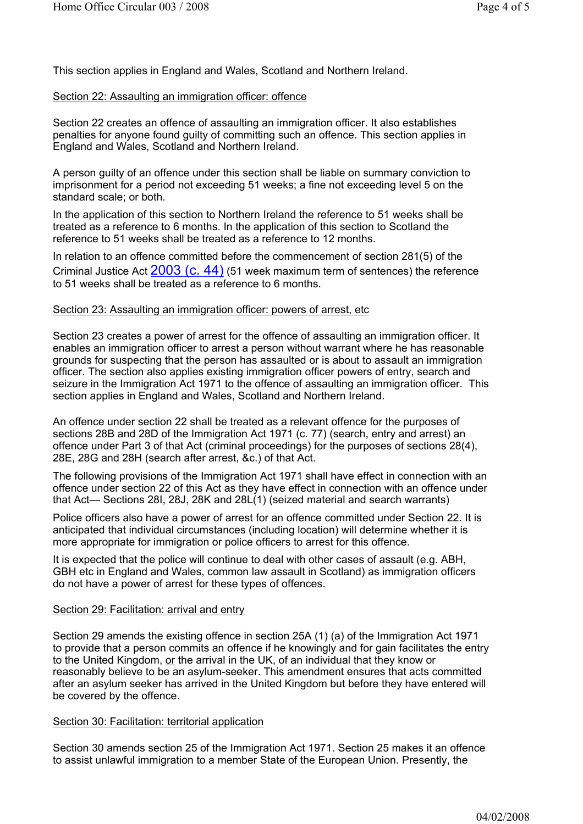This section applies in England and Wales, Scotland and Northern Ireland.

## Section 22: Assaulting an immigration officer: offence

Section 22 creates an offence of assaulting an immigration officer. It also establishes penalties for anyone found guilty of committing such an offence. This section applies in England and Wales, Scotland and Northern Ireland.

A person guilty of an offence under this section shall be liable on summary conviction to imprisonment for a period not exceeding 51 weeks; a fine not exceeding level 5 on the standard scale; or both.

In the application of this section to Northern Ireland the reference to 51 weeks shall be treated as a reference to 6 months. In the application of this section to Scotland the reference to 51 weeks shall be treated as a reference to 12 months.

In relation to an offence committed before the commencement of section 281(5) of the Criminal Justice Act  $2003$  (C.  $44$ ) (51 week maximum term of sentences) the reference to 51 weeks shall be treated as a reference to 6 months.

## Section 23: Assaulting an immigration officer: powers of arrest, etc

Section 23 creates a power of arrest for the offence of assaulting an immigration officer. It enables an immigration officer to arrest a person without warrant where he has reasonable grounds for suspecting that the person has assaulted or is about to assault an immigration officer. The section also applies existing immigration officer powers of entry, search and seizure in the Immigration Act 1971 to the offence of assaulting an immigration officer. This section applies in England and Wales, Scotland and Northern Ireland.

An offence under section 22 shall be treated as a relevant offence for the purposes of sections 28B and 28D of the Immigration Act 1971 (c. 77) (search, entry and arrest) an offence under Part 3 of that Act (criminal proceedings) for the purposes of sections 28(4), 28E, 28G and 28H (search after arrest, &c.) of that Act.

The following provisions of the Immigration Act 1971 shall have effect in connection with an offence under section 22 of this Act as they have effect in connection with an offence under that Act— Sections 28I, 28J, 28K and 28L(1) (seized material and search warrants)

Police officers also have a power of arrest for an offence committed under Section 22. It is anticipated that individual circumstances (including location) will determine whether it is more appropriate for immigration or police officers to arrest for this offence.

It is expected that the police will continue to deal with other cases of assault (e.g. ABH, GBH etc in England and Wales, common law assault in Scotland) as immigration officers do not have a power of arrest for these types of offences.

## Section 29: Facilitation: arrival and entry

Section 29 amends the existing offence in section 25A (1) (a) of the Immigration Act 1971 to provide that a person commits an offence if he knowingly and for gain facilitates the entry to the United Kingdom, or the arrival in the UK, of an individual that they know or reasonably believe to be an asylum-seeker. This amendment ensures that acts committed after an asylum seeker has arrived in the United Kingdom but before they have entered will be covered by the offence.

## Section 30: Facilitation: territorial application

Section 30 amends section 25 of the Immigration Act 1971. Section 25 makes it an offence to assist unlawful immigration to a member State of the European Union. Presently, the